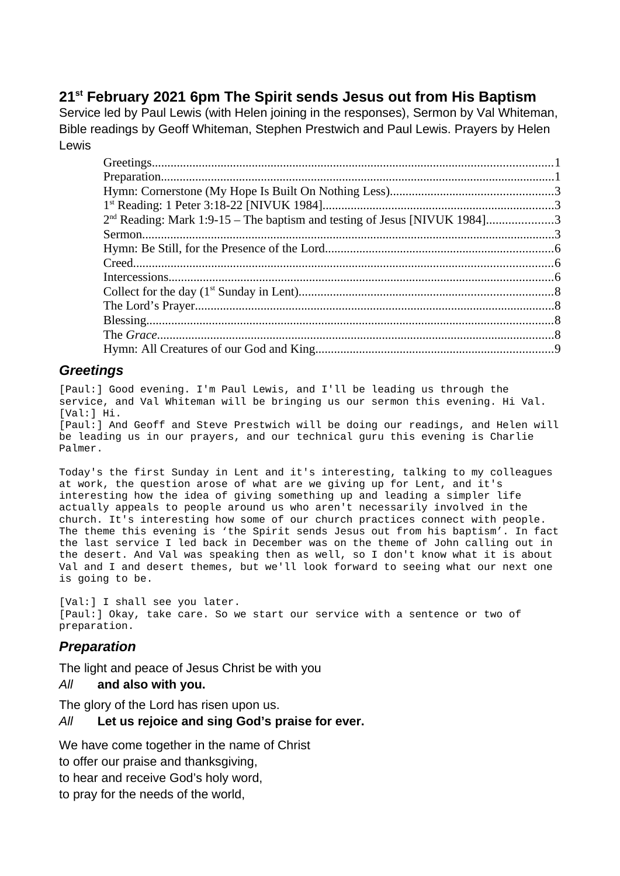# **21st February 2021 6pm The Spirit sends Jesus out from His Baptism**

Service led by Paul Lewis (with Helen joining in the responses), Sermon by Val Whiteman, Bible readings by Geoff Whiteman, Stephen Prestwich and Paul Lewis. Prayers by Helen Lewis

| 2 <sup>nd</sup> Reading: Mark 1:9-15 – The baptism and testing of Jesus [NIVUK 1984]3 |  |
|---------------------------------------------------------------------------------------|--|
|                                                                                       |  |
|                                                                                       |  |
|                                                                                       |  |
|                                                                                       |  |
|                                                                                       |  |
|                                                                                       |  |
|                                                                                       |  |
|                                                                                       |  |
|                                                                                       |  |

# <span id="page-0-1"></span>*Greetings*

[Paul:] Good evening. I'm Paul Lewis, and I'll be leading us through the service, and Val Whiteman will be bringing us our sermon this evening. Hi Val. [Val:] Hi.

[Paul:] And Geoff and Steve Prestwich will be doing our readings, and Helen will be leading us in our prayers, and our technical guru this evening is Charlie Palmer.

Today's the first Sunday in Lent and it's interesting, talking to my colleagues at work, the question arose of what are we giving up for Lent, and it's interesting how the idea of giving something up and leading a simpler life actually appeals to people around us who aren't necessarily involved in the church. It's interesting how some of our church practices connect with people. The theme this evening is 'the Spirit sends Jesus out from his baptism'. In fact the last service I led back in December was on the theme of John calling out in the desert. And Val was speaking then as well, so I don't know what it is about Val and I and desert themes, but we'll look forward to seeing what our next one is going to be.

[Val:] I shall see you later. [Paul:] Okay, take care. So we start our service with a sentence or two of preparation.

# <span id="page-0-0"></span>*Preparation*

The light and peace of Jesus Christ be with you

*All* **and also with you.**

The glory of the Lord has risen upon us.

#### *All* **Let us rejoice and sing God's praise for ever.**

We have come together in the name of Christ

to offer our praise and thanksgiving,

- to hear and receive God's holy word,
- to pray for the needs of the world,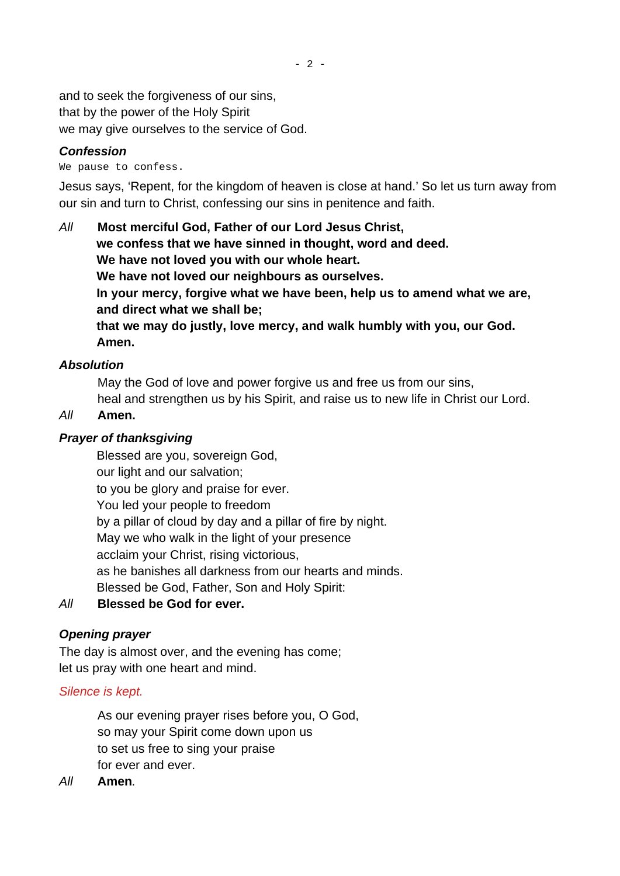and to seek the forgiveness of our sins, that by the power of the Holy Spirit we may give ourselves to the service of God.

## *Confession*

We pause to confess.

Jesus says, 'Repent, for the kingdom of heaven is close at hand.' So let us turn away from our sin and turn to Christ, confessing our sins in penitence and faith.

*All* **Most merciful God, Father of our Lord Jesus Christ, we confess that we have sinned in thought, word and deed. We have not loved you with our whole heart. We have not loved our neighbours as ourselves. In your mercy, forgive what we have been, help us to amend what we are, and direct what we shall be; that we may do justly, love mercy, and walk humbly with you, our God. Amen.**

#### *Absolution*

May the God of love and power forgive us and free us from our sins,

heal and strengthen us by his Spirit, and raise us to new life in Christ our Lord.

## *All* **Amen.**

### *Prayer of thanksgiving*

Blessed are you, sovereign God, our light and our salvation; to you be glory and praise for ever. You led your people to freedom by a pillar of cloud by day and a pillar of fire by night. May we who walk in the light of your presence acclaim your Christ, rising victorious, as he banishes all darkness from our hearts and minds. Blessed be God, Father, Son and Holy Spirit:

# *All* **Blessed be God for ever.**

# *Opening prayer*

The day is almost over, and the evening has come; let us pray with one heart and mind.

# *Silence is kept.*

As our evening prayer rises before you, O God, so may your Spirit come down upon us to set us free to sing your praise for ever and ever.

*All* **Amen***.*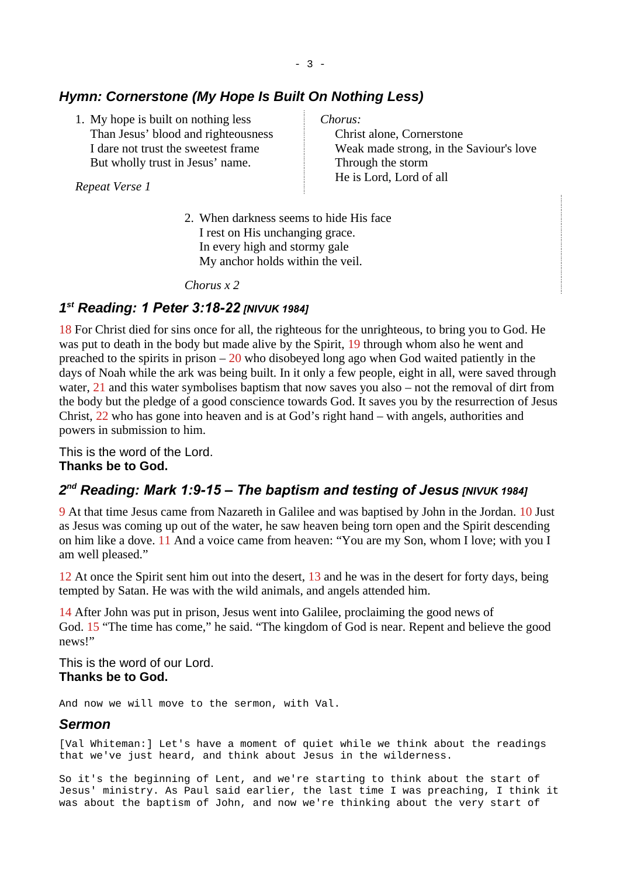# <span id="page-2-3"></span>*Hymn: Cornerstone (My Hope Is Built On Nothing Less)*

1. My hope is built on nothing less Than Jesus' blood and righteousness I dare not trust the sweetest frame But wholly trust in Jesus' name.

*Repeat Verse 1*

#### *Chorus:*

Christ alone, Cornerstone Weak made strong, in the Saviour's love Through the storm He is Lord, Lord of all

2. When darkness seems to hide His face I rest on His unchanging grace. In every high and stormy gale My anchor holds within the veil.

*Chorus x 2*

## <span id="page-2-2"></span>*1 st Reading: 1 Peter 3:18-22 [NIVUK 1984]*

18 For Christ died for sins once for all, the righteous for the unrighteous, to bring you to God. He was put to death in the body but made alive by the Spirit, 19 through whom also he went and preached to the spirits in prison  $-20$  who disobeyed long ago when God waited patiently in the days of Noah while the ark was being built. In it only a few people, eight in all, were saved through water, 21 and this water symbolises baptism that now saves you also – not the removal of dirt from the body but the pledge of a good conscience towards God. It saves you by the resurrection of Jesus Christ, 22 who has gone into heaven and is at God's right hand – with angels, authorities and powers in submission to him.

This is the word of the Lord. **Thanks be to God.**

## <span id="page-2-1"></span>*2 nd Reading: Mark 1:9-15 – The baptism and testing of Jesus [NIVUK 1984]*

9 At that time Jesus came from Nazareth in Galilee and was baptised by John in the Jordan. 10 Just as Jesus was coming up out of the water, he saw heaven being torn open and the Spirit descending on him like a dove. 11 And a voice came from heaven: "You are my Son, whom I love; with you I am well pleased."

12 At once the Spirit sent him out into the desert, 13 and he was in the desert for forty days, being tempted by Satan. He was with the wild animals, and angels attended him.

14 After John was put in prison, Jesus went into Galilee, proclaiming the good news of God. 15 "The time has come," he said. "The kingdom of God is near. Repent and believe the good news!"

This is the word of our Lord. **Thanks be to God.**

And now we will move to the sermon, with Val.

#### <span id="page-2-0"></span>*Sermon*

[Val Whiteman:] Let's have a moment of quiet while we think about the readings that we've just heard, and think about Jesus in the wilderness.

So it's the beginning of Lent, and we're starting to think about the start of Jesus' ministry. As Paul said earlier, the last time I was preaching, I think it was about the baptism of John, and now we're thinking about the very start of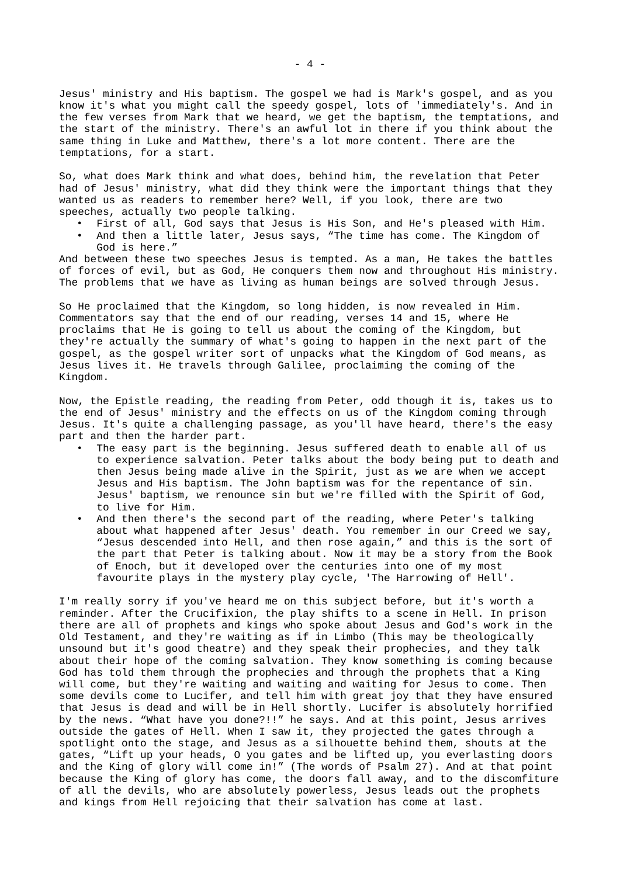Jesus' ministry and His baptism. The gospel we had is Mark's gospel, and as you know it's what you might call the speedy gospel, lots of 'immediately's. And in the few verses from Mark that we heard, we get the baptism, the temptations, and the start of the ministry. There's an awful lot in there if you think about the same thing in Luke and Matthew, there's a lot more content. There are the temptations, for a start.

So, what does Mark think and what does, behind him, the revelation that Peter had of Jesus' ministry, what did they think were the important things that they wanted us as readers to remember here? Well, if you look, there are two speeches, actually two people talking.

- First of all, God says that Jesus is His Son, and He's pleased with Him.
- And then a little later, Jesus says, "The time has come. The Kingdom of God is here."

And between these two speeches Jesus is tempted. As a man, He takes the battles of forces of evil, but as God, He conquers them now and throughout His ministry. The problems that we have as living as human beings are solved through Jesus.

So He proclaimed that the Kingdom, so long hidden, is now revealed in Him. Commentators say that the end of our reading, verses 14 and 15, where He proclaims that He is going to tell us about the coming of the Kingdom, but they're actually the summary of what's going to happen in the next part of the gospel, as the gospel writer sort of unpacks what the Kingdom of God means, as Jesus lives it. He travels through Galilee, proclaiming the coming of the Kingdom.

Now, the Epistle reading, the reading from Peter, odd though it is, takes us to the end of Jesus' ministry and the effects on us of the Kingdom coming through Jesus. It's quite a challenging passage, as you'll have heard, there's the easy part and then the harder part.

- The easy part is the beginning. Jesus suffered death to enable all of us to experience salvation. Peter talks about the body being put to death and then Jesus being made alive in the Spirit, just as we are when we accept Jesus and His baptism. The John baptism was for the repentance of sin. Jesus' baptism, we renounce sin but we're filled with the Spirit of God, to live for Him.
- And then there's the second part of the reading, where Peter's talking about what happened after Jesus' death. You remember in our Creed we say, "Jesus descended into Hell, and then rose again," and this is the sort of the part that Peter is talking about. Now it may be a story from the Book of Enoch, but it developed over the centuries into one of my most favourite plays in the mystery play cycle, 'The Harrowing of Hell'.

I'm really sorry if you've heard me on this subject before, but it's worth a reminder. After the Crucifixion, the play shifts to a scene in Hell. In prison there are all of prophets and kings who spoke about Jesus and God's work in the Old Testament, and they're waiting as if in Limbo (This may be theologically unsound but it's good theatre) and they speak their prophecies, and they talk about their hope of the coming salvation. They know something is coming because God has told them through the prophecies and through the prophets that a King will come, but they're waiting and waiting and waiting for Jesus to come. Then some devils come to Lucifer, and tell him with great joy that they have ensured that Jesus is dead and will be in Hell shortly. Lucifer is absolutely horrified by the news. "What have you done?!!" he says. And at this point, Jesus arrives outside the gates of Hell. When I saw it, they projected the gates through a spotlight onto the stage, and Jesus as a silhouette behind them, shouts at the gates, "Lift up your heads, O you gates and be lifted up, you everlasting doors and the King of glory will come in!" (The words of Psalm 27). And at that point because the King of glory has come, the doors fall away, and to the discomfiture of all the devils, who are absolutely powerless, Jesus leads out the prophets and kings from Hell rejoicing that their salvation has come at last.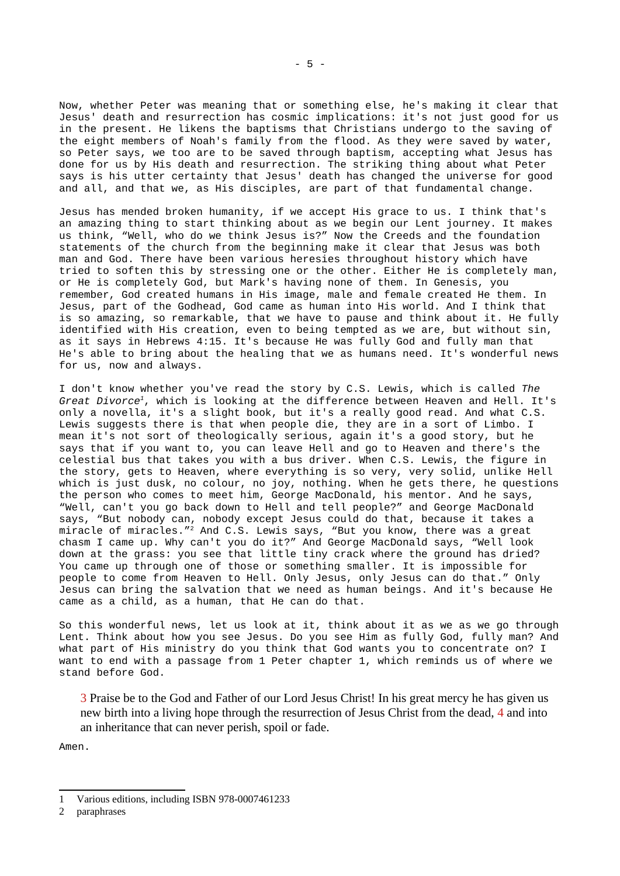Now, whether Peter was meaning that or something else, he's making it clear that Jesus' death and resurrection has cosmic implications: it's not just good for us in the present. He likens the baptisms that Christians undergo to the saving of the eight members of Noah's family from the flood. As they were saved by water, so Peter says, we too are to be saved through baptism, accepting what Jesus has done for us by His death and resurrection. The striking thing about what Peter says is his utter certainty that Jesus' death has changed the universe for good and all, and that we, as His disciples, are part of that fundamental change.

Jesus has mended broken humanity, if we accept His grace to us. I think that's an amazing thing to start thinking about as we begin our Lent journey. It makes us think, "Well, who do we think Jesus is?" Now the Creeds and the foundation statements of the church from the beginning make it clear that Jesus was both man and God. There have been various heresies throughout history which have tried to soften this by stressing one or the other. Either He is completely man, or He is completely God, but Mark's having none of them. In Genesis, you remember, God created humans in His image, male and female created He them. In Jesus, part of the Godhead, God came as human into His world. And I think that is so amazing, so remarkable, that we have to pause and think about it. He fully identified with His creation, even to being tempted as we are, but without sin, as it says in Hebrews 4:15. It's because He was fully God and fully man that He's able to bring about the healing that we as humans need. It's wonderful news for us, now and always.

I don't know whether you've read the story by C.S. Lewis, which is called *The Great Divorce[1](#page-4-0)*, which is looking at the difference between Heaven and Hell. It's only a novella, it's a slight book, but it's a really good read. And what C.S. Lewis suggests there is that when people die, they are in a sort of Limbo. I mean it's not sort of theologically serious, again it's a good story, but he says that if you want to, you can leave Hell and go to Heaven and there's the celestial bus that takes you with a bus driver. When C.S. Lewis, the figure in the story, gets to Heaven, where everything is so very, very solid, unlike Hell which is just dusk, no colour, no joy, nothing. When he gets there, he questions the person who comes to meet him, George MacDonald, his mentor. And he says, "Well, can't you go back down to Hell and tell people?" and George MacDonald says, "But nobody can, nobody except Jesus could do that, because it takes a miracle of miracles."[2](#page-4-1) And C.S. Lewis says, "But you know, there was a great chasm I came up. Why can't you do it?" And George MacDonald says, "Well look down at the grass: you see that little tiny crack where the ground has dried? You came up through one of those or something smaller. It is impossible for people to come from Heaven to Hell. Only Jesus, only Jesus can do that." Only Jesus can bring the salvation that we need as human beings. And it's because He came as a child, as a human, that He can do that.

So this wonderful news, let us look at it, think about it as we as we go through Lent. Think about how you see Jesus. Do you see Him as fully God, fully man? And what part of His ministry do you think that God wants you to concentrate on? I want to end with a passage from 1 Peter chapter 1, which reminds us of where we stand before God.

3 Praise be to the God and Father of our Lord Jesus Christ! In his great mercy he has given us new birth into a living hope through the resurrection of Jesus Christ from the dead, 4 and into an inheritance that can never perish, spoil or fade.

Amen.

<span id="page-4-1"></span>2 paraphrases

<span id="page-4-0"></span><sup>1</sup> Various editions, including ISBN 978-0007461233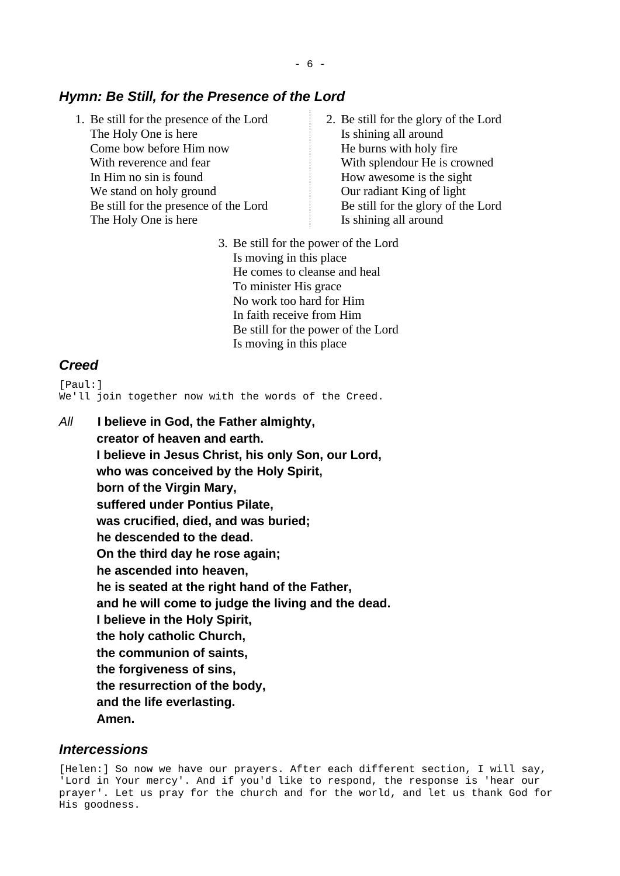# <span id="page-5-2"></span>*Hymn: Be Still, for the Presence of the Lord*

- 1. Be still for the presence of the Lord The Holy One is here Come bow before Him now With reverence and fear In Him no sin is found We stand on holy ground Be still for the presence of the Lord The Holy One is here
- 2. Be still for the glory of the Lord Is shining all around He burns with holy fire With splendour He is crowned How awesome is the sight Our radiant King of light Be still for the glory of the Lord Is shining all around
- 3. Be still for the power of the Lord Is moving in this place He comes to cleanse and heal To minister His grace No work too hard for Him In faith receive from Him Be still for the power of the Lord Is moving in this place

# <span id="page-5-1"></span>*Creed*

```
[Paul:]
We'll join together now with the words of the Creed.
```
*All* **I believe in God, the Father almighty, creator of heaven and earth. I believe in Jesus Christ, his only Son, our Lord, who was conceived by the Holy Spirit, born of the Virgin Mary, suffered under Pontius Pilate, was crucified, died, and was buried; he descended to the dead. On the third day he rose again; he ascended into heaven, he is seated at the right hand of the Father, and he will come to judge the living and the dead. I believe in the Holy Spirit, the holy catholic Church, the communion of saints, the forgiveness of sins, the resurrection of the body, and the life everlasting. Amen.**

#### <span id="page-5-0"></span>*Intercessions*

[Helen:] So now we have our prayers. After each different section, I will say, 'Lord in Your mercy'. And if you'd like to respond, the response is 'hear our prayer'. Let us pray for the church and for the world, and let us thank God for His goodness.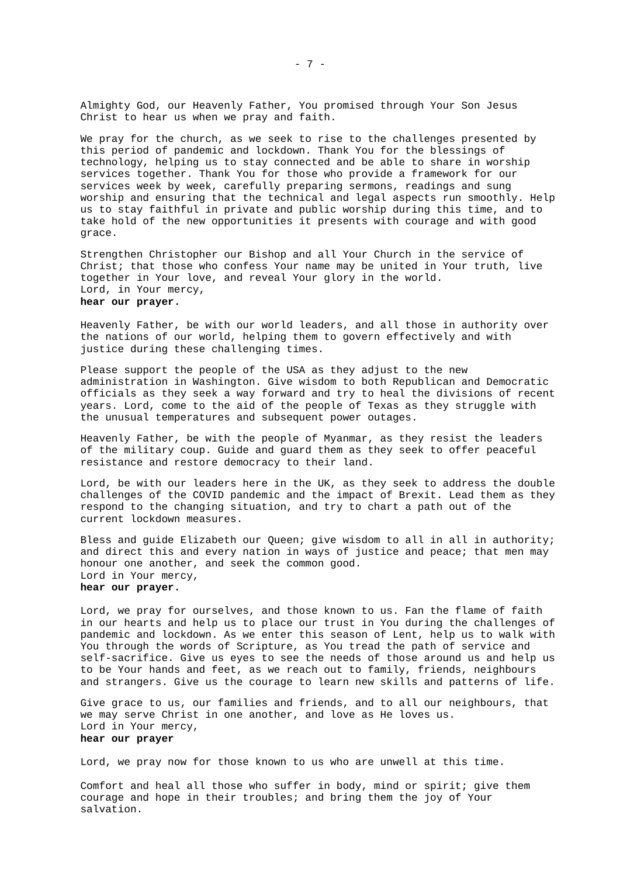Almighty God, our Heavenly Father, You promised through Your Son Jesus Christ to hear us when we pray and faith.

We pray for the church, as we seek to rise to the challenges presented by this period of pandemic and lockdown. Thank You for the blessings of technology, helping us to stay connected and be able to share in worship services together. Thank You for those who provide a framework for our services week by week, carefully preparing sermons, readings and sung worship and ensuring that the technical and legal aspects run smoothly. Help us to stay faithful in private and public worship during this time, and to take hold of the new opportunities it presents with courage and with good grace.

Strengthen Christopher our Bishop and all Your Church in the service of Christ; that those who confess Your name may be united in Your truth, live together in Your love, and reveal Your glory in the world. Lord, in Your mercy, **hear our prayer.** 

Heavenly Father, be with our world leaders, and all those in authority over the nations of our world, helping them to govern effectively and with justice during these challenging times.

Please support the people of the USA as they adjust to the new administration in Washington. Give wisdom to both Republican and Democratic officials as they seek a way forward and try to heal the divisions of recent years. Lord, come to the aid of the people of Texas as they struggle with the unusual temperatures and subsequent power outages.

Heavenly Father, be with the people of Myanmar, as they resist the leaders of the military coup. Guide and guard them as they seek to offer peaceful resistance and restore democracy to their land.

Lord, be with our leaders here in the UK, as they seek to address the double challenges of the COVID pandemic and the impact of Brexit. Lead them as they respond to the changing situation, and try to chart a path out of the current lockdown measures.

Bless and guide Elizabeth our Queen; give wisdom to all in all in authority; and direct this and every nation in ways of justice and peace; that men may honour one another, and seek the common good. Lord in Your mercy, **hear our prayer.**

Lord, we pray for ourselves, and those known to us. Fan the flame of faith in our hearts and help us to place our trust in You during the challenges of pandemic and lockdown. As we enter this season of Lent, help us to walk with You through the words of Scripture, as You tread the path of service and self-sacrifice. Give us eyes to see the needs of those around us and help us to be Your hands and feet, as we reach out to family, friends, neighbours and strangers. Give us the courage to learn new skills and patterns of life.

Give grace to us, our families and friends, and to all our neighbours, that we may serve Christ in one another, and love as He loves us. Lord in Your mercy, **hear our prayer**

Lord, we pray now for those known to us who are unwell at this time.

Comfort and heal all those who suffer in body, mind or spirit; give them courage and hope in their troubles; and bring them the joy of Your salvation.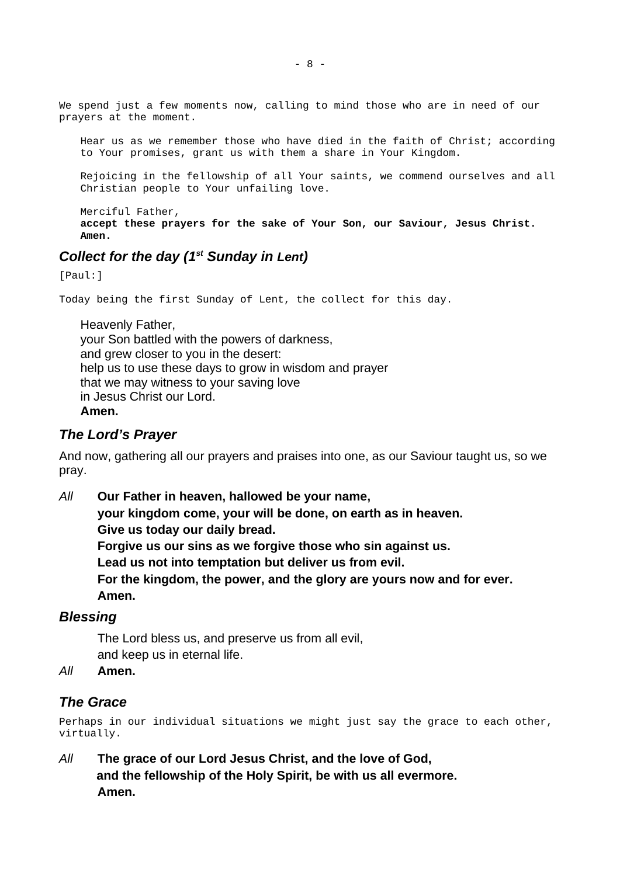We spend just a few moments now, calling to mind those who are in need of our prayers at the moment.

Hear us as we remember those who have died in the faith of Christ; according to Your promises, grant us with them a share in Your Kingdom.

Rejoicing in the fellowship of all Your saints, we commend ourselves and all Christian people to Your unfailing love.

Merciful Father, **accept these prayers for the sake of Your Son, our Saviour, Jesus Christ. Amen.**

### <span id="page-7-3"></span>*Collect for the day (1 st Sunday in Lent)*

[Paul:]

Today being the first Sunday of Lent, the collect for this day.

Heavenly Father, your Son battled with the powers of darkness, and grew closer to you in the desert: help us to use these days to grow in wisdom and prayer that we may witness to your saving love in Jesus Christ our Lord. **Amen.**

#### <span id="page-7-2"></span>*The Lord's Prayer*

And now, gathering all our prayers and praises into one, as our Saviour taught us, so we pray.

*All* **Our Father in heaven, hallowed be your name, your kingdom come, your will be done, on earth as in heaven. Give us today our daily bread. Forgive us our sins as we forgive those who sin against us. Lead us not into temptation but deliver us from evil. For the kingdom, the power, and the glory are yours now and for ever. Amen.**

#### <span id="page-7-1"></span>*Blessing*

The Lord bless us, and preserve us from all evil, and keep us in eternal life.

*All* **Amen.**

#### <span id="page-7-0"></span>*The Grace*

Perhaps in our individual situations we might just say the grace to each other, virtually.

*All* **The grace of our Lord Jesus Christ, and the love of God, and the fellowship of the Holy Spirit, be with us all evermore. Amen.**